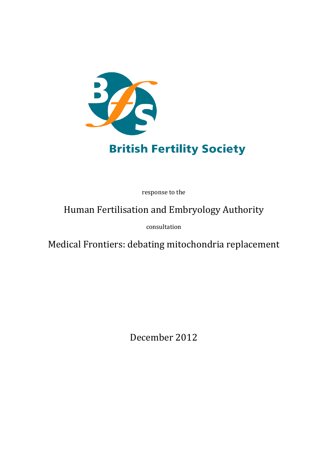

# **British Fertility Society**

response to the

# Human Fertilisation and Embryology Authority

consultation

Medical Frontiers: debating mitochondria replacement

December 2012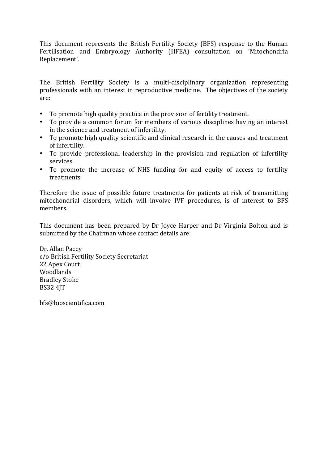This document represents the British Fertility Society (BFS) response to the Human Fertilisation and Embryology Authority (HFEA) consultation on 'Mitochondria Replacement'.

The British Fertility Society is a multi-disciplinary organization representing professionals with an interest in reproductive medicine. The objectives of the society are:

- To promote high quality practice in the provision of fertility treatment.
- To provide a common forum for members of various disciplines having an interest in the science and treatment of infertility.
- To promote high quality scientific and clinical research in the causes and treatment of infertility.
- To provide professional leadership in the provision and regulation of infertility services.
- To promote the increase of NHS funding for and equity of access to fertility treatments.

Therefore the issue of possible future treatments for patients at risk of transmitting mitochondrial disorders, which will involve IVF procedures, is of interest to BFS members.

This document has been prepared by Dr Joyce Harper and Dr Virginia Bolton and is submitted by the Chairman whose contact details are:

Dr. Allan Pacey c/o British Fertility Society Secretariat 22 Apex Court Woodlands Bradley Stoke BS32 4JT

bfs@bioscientifica.com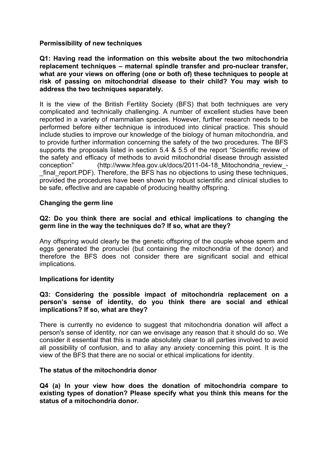### **Permissibility of new techniques**

**Q1: Having read the information on this website about the two mitochondria replacement techniques – maternal spindle transfer and pro-nuclear transfer, what are your views on offering (one or both of) these techniques to people at risk of passing on mitochondrial disease to their child? You may wish to address the two techniques separately.**

It is the view of the British Fertility Society (BFS) that both techniques are very complicated and technically challenging. A number of excellent studies have been reported in a variety of mammalian species. However, further research needs to be performed before either technique is introduced into clinical practice. This should include studies to improve our knowledge of the biology of human mitochondria, and to provide further information concerning the safety of the two procedures. The BFS supports the proposals listed in section 5.4 & 5.5 of the report "Scientific review of the safety and efficacy of methods to avoid mitochondrial disease through assisted conception" (http://www.hfea.gov.uk/docs/2011-04-18 Mitochondria review - $_$  final\_report.PDF). Therefore, the BFS has no objections to using these techniques, provided the procedures have been shown by robust scientific and clinical studies to be safe, effective and are capable of producing healthy offspring.

#### **Changing the germ line**

## **Q2: Do you think there are social and ethical implications to changing the germ line in the way the techniques do? If so, what are they?**

Any offspring would clearly be the genetic offspring of the couple whose sperm and eggs generated the pronuclei (but containing the mitochondria of the donor) and therefore the BFS does not consider there are significant social and ethical implications.

#### **Implications for identity**

#### **Q3: Considering the possible impact of mitochondria replacement on a person's sense of identity, do you think there are social and ethical implications? If so, what are they?**

There is currently no evidence to suggest that mitochondria donation will affect a person's sense of identity, nor can we envisage any reason that it should do so. We consider it essential that this is made absolutely clear to all parties involved to avoid all possibility of confusion, and to allay any anxiety concerning this point. It is the view of the BFS that there are no social or ethical implications for identity.

#### **The status of the mitochondria donor**

**Q4 (a) In your view how does the donation of mitochondria compare to existing types of donation? Please specify what you think this means for the status of a mitochondria donor.**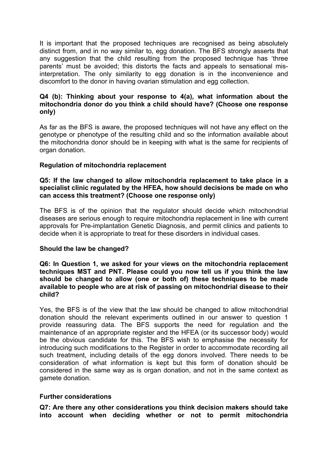It is important that the proposed techniques are recognised as being absolutely distinct from, and in no way similar to, egg donation. The BFS strongly asserts that any suggestion that the child resulting from the proposed technique has 'three parents' must be avoided; this distorts the facts and appeals to sensational misinterpretation. The only similarity to egg donation is in the inconvenience and discomfort to the donor in having ovarian stimulation and egg collection.

## **Q4 (b): Thinking about your response to 4(a), what information about the mitochondria donor do you think a child should have? (Choose one response only)**

As far as the BFS is aware, the proposed techniques will not have any effect on the genotype or phenotype of the resulting child and so the information available about the mitochondria donor should be in keeping with what is the same for recipients of organ donation.

#### **Regulation of mitochondria replacement**

#### **Q5: If the law changed to allow mitochondria replacement to take place in a specialist clinic regulated by the HFEA, how should decisions be made on who can access this treatment? (Choose one response only)**

The BFS is of the opinion that the regulator should decide which mitochondrial diseases are serious enough to require mitochondria replacement in line with current approvals for Pre-implantation Genetic Diagnosis, and permit clinics and patients to decide when it is appropriate to treat for these disorders in individual cases.

#### **Should the law be changed?**

**Q6: In Question 1, we asked for your views on the mitochondria replacement techniques MST and PNT. Please could you now tell us if you think the law should be changed to allow (one or both of) these techniques to be made available to people who are at risk of passing on mitochondrial disease to their child?**

Yes, the BFS is of the view that the law should be changed to allow mitochondrial donation should the relevant experiments outlined in our answer to question 1 provide reassuring data. The BFS supports the need for regulation and the maintenance of an appropriate register and the HFEA (or its successor body) would be the obvious candidate for this. The BFS wish to emphasise the necessity for introducing such modifications to the Register in order to accommodate recording all such treatment, including details of the egg donors involved. There needs to be consideration of what information is kept but this form of donation should be considered in the same way as is organ donation, and not in the same context as gamete donation.

#### **Further considerations**

**Q7: Are there any other considerations you think decision makers should take into account when deciding whether or not to permit mitochondria**